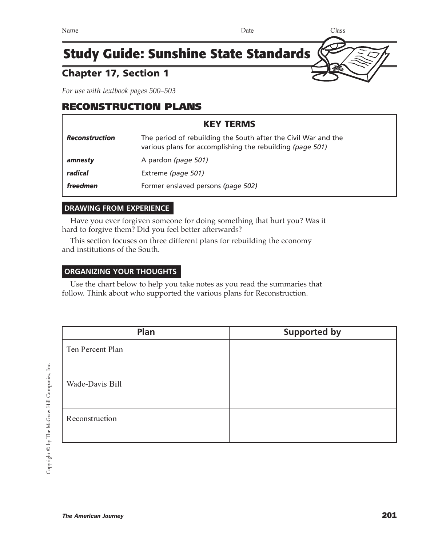### Chapter 17, Section 1

*For use with textbook pages 500–503*

### RECONSTRUCTION PLANS

## KEY TERMS *Reconstruction* The period of rebuilding the South after the Civil War and the various plans for accomplishing the rebuilding *(page 501)* **amnesty** A pardon (page 501) *radical* Extreme *(page 501)* **freedmen** Former enslaved persons (page 502)

### **DRAWING FROM EXPERIENCE**

Have you ever forgiven someone for doing something that hurt you? Was it hard to forgive them? Did you feel better afterwards?

This section focuses on three different plans for rebuilding the economy and institutions of the South.

### **ORGANIZING YOUR THOUGHTS**

Use the chart below to help you take notes as you read the summaries that follow. Think about who supported the various plans for Reconstruction.

| Plan             | <b>Supported by</b> |
|------------------|---------------------|
| Ten Percent Plan |                     |
| Wade-Davis Bill  |                     |
| Reconstruction   |                     |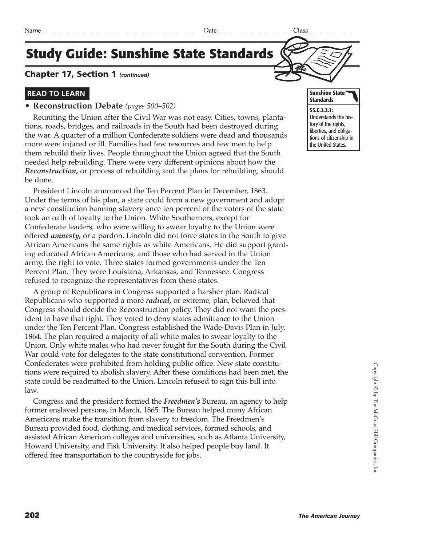### Chapter 17, Section 1 *(continued)*

### **READ TO LEARN**

### **• Reconstruction Debate** *(pages 500–502)*

Reuniting the Union after the Civil War was not easy. Cities, towns, plantations, roads, bridges, and railroads in the South had been destroyed during the war. A quarter of a million Confederate soldiers were dead and thousands more were injured or ill. Families had few resources and few men to help them rebuild their lives. People throughout the Union agreed that the South needed help rebuilding. There were very different opinions about how the *Reconstruction,* or process of rebuilding and the plans for rebuilding, should be done.

President Lincoln announced the Ten Percent Plan in December, 1863. Under the terms of his plan, a state could form a new government and adopt a new constitution banning slavery once ten percent of the voters of the state took an oath of loyalty to the Union. White Southerners, except for Confederate leaders, who were willing to swear loyalty to the Union were offered *amnesty,* or a pardon. Lincoln did not force states in the South to give African Americans the same rights as white Americans. He did support granting educated African Americans, and those who had served in the Union army, the right to vote. Three states formed governments under the Ten Percent Plan. They were Louisiana, Arkansas, and Tennessee. Congress refused to recognize the representatives from these states.

A group of Republicans in Congress supported a harsher plan. Radical Republicans who supported a more *radical,* or extreme, plan, believed that Congress should decide the Reconstruction policy. They did not want the president to have that right. They voted to deny states admittance to the Union under the Ten Percent Plan. Congress established the Wade-Davis Plan in July, 1864. The plan required a majority of all white males to swear loyalty to the Union. Only white males who had never fought for the South during the Civil War could vote for delegates to the state constitutional convention. Former Confederates were prohibited from holding public office. New state constitutions were required to abolish slavery. After these conditions had been met, the state could be readmitted to the Union. Lincoln refused to sign this bill into law.

Congress and the president formed the *Freedmen's* Bureau, an agency to help former enslaved persons, in March, 1865. The Bureau helped many African Americans make the transition from slavery to freedom. The Freedmen's Bureau provided food, clothing, and medical services, formed schools, and assisted African American colleges and universities, such as Atlanta University, Howard University, and Fisk University. It also helped people buy land. It offered free transportation to the countryside for jobs.



the United States.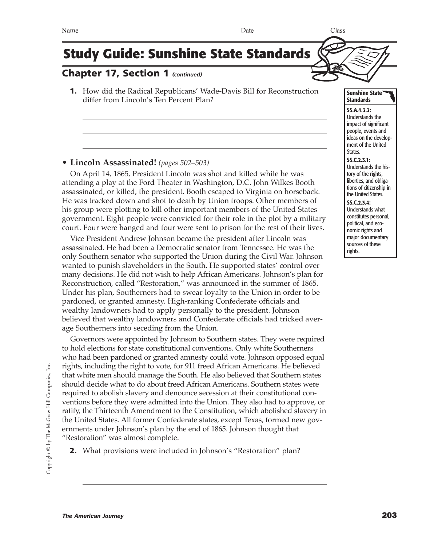### Chapter 17, Section 1 *(continued)*

1. How did the Radical Republicans' Wade-Davis Bill for Reconstruction differ from Lincoln's Ten Percent Plan?

#### **• Lincoln Assassinated!** *(pages 502–503)*

On April 14, 1865, President Lincoln was shot and killed while he was attending a play at the Ford Theater in Washington, D.C. John Wilkes Booth assassinated, or killed, the president. Booth escaped to Virginia on horseback. He was tracked down and shot to death by Union troops. Other members of his group were plotting to kill other important members of the United States government. Eight people were convicted for their role in the plot by a military court. Four were hanged and four were sent to prison for the rest of their lives.

Vice President Andrew Johnson became the president after Lincoln was assassinated. He had been a Democratic senator from Tennessee. He was the only Southern senator who supported the Union during the Civil War. Johnson wanted to punish slaveholders in the South. He supported states' control over many decisions. He did not wish to help African Americans. Johnson's plan for Reconstruction, called "Restoration," was announced in the summer of 1865. Under his plan, Southerners had to swear loyalty to the Union in order to be pardoned, or granted amnesty. High-ranking Confederate officials and wealthy landowners had to apply personally to the president. Johnson believed that wealthy landowners and Confederate officials had tricked average Southerners into seceding from the Union.

Governors were appointed by Johnson to Southern states. They were required to hold elections for state constitutional conventions. Only white Southerners who had been pardoned or granted amnesty could vote. Johnson opposed equal rights, including the right to vote, for 911 freed African Americans. He believed that white men should manage the South. He also believed that Southern states should decide what to do about freed African Americans. Southern states were required to abolish slavery and denounce secession at their constitutional conventions before they were admitted into the Union. They also had to approve, or ratify, the Thirteenth Amendment to the Constitution, which abolished slavery in the United States. All former Confederate states, except Texas, formed new governments under Johnson's plan by the end of 1865. Johnson thought that "Restoration" was almost complete.

2. What provisions were included in Johnson's "Restoration" plan?

#### Sunshine State **Standards**

SS.A.4.3.3: Understands the impact of significant people, events and ideas on the development of the United States.

#### SS.C.2.3.1:

Understands the history of the rights, liberties, and obligations of citizenship in the United States.

#### SS.C.2.3.4:

Understands what constitutes personal, political, and economic rights and major documentary sources of these rights.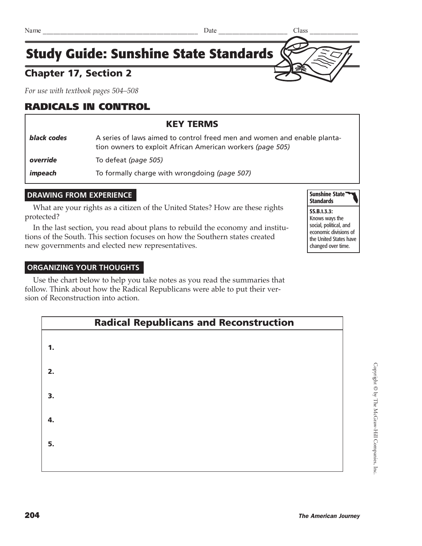## Chapter 17, Section 2

*For use with textbook pages 504–508*

## RADICALS IN CONTROL

### KEY TERMS

| black codes | A series of laws aimed to control freed men and women and enable planta-<br>tion owners to exploit African American workers (page 505) |
|-------------|----------------------------------------------------------------------------------------------------------------------------------------|
| override    | To defeat (page 505)                                                                                                                   |
| impeach     | To formally charge with wrongdoing (page 507)                                                                                          |

### **DRAWING FROM EXPERIENCE**

What are your rights as a citizen of the United States? How are these rights protected?

In the last section, you read about plans to rebuild the economy and institutions of the South. This section focuses on how the Southern states created new governments and elected new representatives.

#### Sunshine State **Standards**

#### SS.B.1.3.3: Knows ways the social, political, and economic divisions of the United States have changed over time.

#### **ORGANIZING YOUR THOUGHTS**

Use the chart below to help you take notes as you read the summaries that follow. Think about how the Radical Republicans were able to put their version of Reconstruction into action.

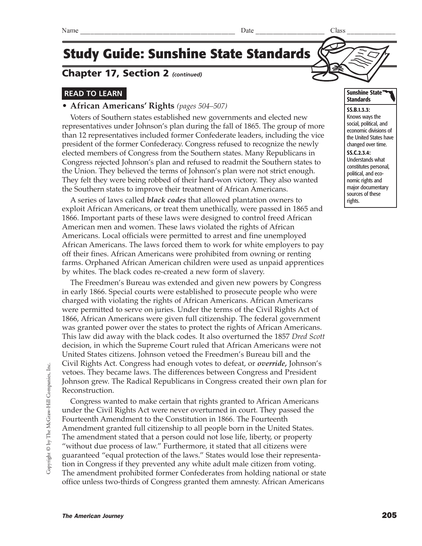### Chapter 17, Section 2 *(continued)*

### **READ TO LEARN**

#### **• African Americans' Rights** *(pages 504–507)*

Voters of Southern states established new governments and elected new representatives under Johnson's plan during the fall of 1865. The group of more than 12 representatives included former Confederate leaders, including the vice president of the former Confederacy. Congress refused to recognize the newly elected members of Congress from the Southern states. Many Republicans in Congress rejected Johnson's plan and refused to readmit the Southern states to the Union. They believed the terms of Johnson's plan were not strict enough. They felt they were being robbed of their hard-won victory. They also wanted the Southern states to improve their treatment of African Americans.

A series of laws called *black codes* that allowed plantation owners to exploit African Americans, or treat them unethically, were passed in 1865 and 1866. Important parts of these laws were designed to control freed African American men and women. These laws violated the rights of African Americans. Local officials were permitted to arrest and fine unemployed African Americans. The laws forced them to work for white employers to pay off their fines. African Americans were prohibited from owning or renting farms. Orphaned African American children were used as unpaid apprentices by whites. The black codes re-created a new form of slavery.

The Freedmen's Bureau was extended and given new powers by Congress in early 1866. Special courts were established to prosecute people who were charged with violating the rights of African Americans. African Americans were permitted to serve on juries. Under the terms of the Civil Rights Act of 1866, African Americans were given full citizenship. The federal government was granted power over the states to protect the rights of African Americans. This law did away with the black codes. It also overturned the 1857 *Dred Scott* decision, in which the Supreme Court ruled that African Americans were not United States citizens. Johnson vetoed the Freedmen's Bureau bill and the Civil Rights Act. Congress had enough votes to defeat, or *override,* Johnson's vetoes. They became laws. The differences between Congress and President Johnson grew. The Radical Republicans in Congress created their own plan for Reconstruction.

Congress wanted to make certain that rights granted to African Americans under the Civil Rights Act were never overturned in court. They passed the Fourteenth Amendment to the Constitution in 1866. The Fourteenth Amendment granted full citizenship to all people born in the United States. The amendment stated that a person could not lose life, liberty, or property "without due process of law." Furthermore, it stated that all citizens were guaranteed "equal protection of the laws." States would lose their representation in Congress if they prevented any white adult male citizen from voting. The amendment prohibited former Confederates from holding national or state office unless two-thirds of Congress granted them amnesty. African Americans

#### Sunshine State **Standards**

SS.B.1.3.3: Knows ways the social, political, and economic divisions of the United States have changed over time. SS.C.2.3.4: Understands what constitutes personal, political, and economic rights and major documentary sources of these rights.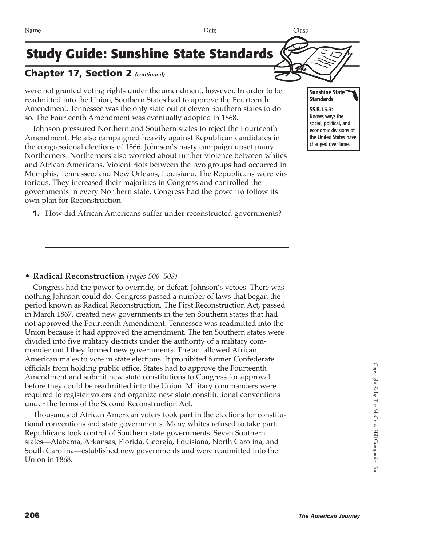### Chapter 17, Section 2 *(continued)*

were not granted voting rights under the amendment, however. In order to be readmitted into the Union, Southern States had to approve the Fourteenth Amendment. Tennessee was the only state out of eleven Southern states to do so. The Fourteenth Amendment was eventually adopted in 1868.

Johnson pressured Northern and Southern states to reject the Fourteenth Amendment. He also campaigned heavily against Republican candidates in the congressional elections of 1866. Johnson's nasty campaign upset many Northerners. Northerners also worried about further violence between whites and African Americans. Violent riots between the two groups had occurred in Memphis, Tennessee, and New Orleans, Louisiana. The Republicans were victorious. They increased their majorities in Congress and controlled the governments in every Northern state. Congress had the power to follow its own plan for Reconstruction.

1. How did African Americans suffer under reconstructed governments?



Copyright © by The McGraw-Hill Companies, Inc. Copyright © by The McGraw-Hill Companies, Inc

### **• Radical Reconstruction** *(pages 506–508)*

Congress had the power to override, or defeat, Johnson's vetoes. There was nothing Johnson could do. Congress passed a number of laws that began the period known as Radical Reconstruction. The First Reconstruction Act, passed in March 1867, created new governments in the ten Southern states that had not approved the Fourteenth Amendment. Tennessee was readmitted into the Union because it had approved the amendment. The ten Southern states were divided into five military districts under the authority of a military commander until they formed new governments. The act allowed African American males to vote in state elections. It prohibited former Confederate officials from holding public office. States had to approve the Fourteenth Amendment and submit new state constitutions to Congress for approval before they could be readmitted into the Union. Military commanders were required to register voters and organize new state constitutional conventions under the terms of the Second Reconstruction Act.

Thousands of African American voters took part in the elections for constitutional conventions and state governments. Many whites refused to take part. Republicans took control of Southern state governments. Seven Southern states—Alabama, Arkansas, Florida, Georgia, Louisiana, North Carolina, and South Carolina—established new governments and were readmitted into the Union in 1868.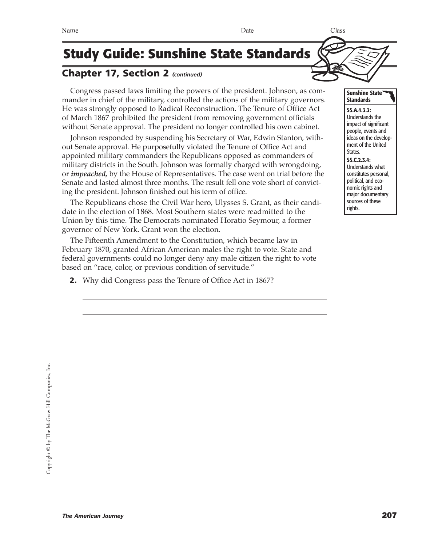### Chapter 17, Section 2 *(continued)*

Congress passed laws limiting the powers of the president. Johnson, as commander in chief of the military, controlled the actions of the military governors. He was strongly opposed to Radical Reconstruction. The Tenure of Office Act of March 1867 prohibited the president from removing government officials without Senate approval. The president no longer controlled his own cabinet.

Johnson responded by suspending his Secretary of War, Edwin Stanton, without Senate approval. He purposefully violated the Tenure of Office Act and appointed military commanders the Republicans opposed as commanders of military districts in the South. Johnson was formally charged with wrongdoing, or *impeached,* by the House of Representatives. The case went on trial before the Senate and lasted almost three months. The result fell one vote short of convicting the president. Johnson finished out his term of office.

The Republicans chose the Civil War hero, Ulysses S. Grant, as their candidate in the election of 1868. Most Southern states were readmitted to the Union by this time. The Democrats nominated Horatio Seymour, a former governor of New York. Grant won the election.

The Fifteenth Amendment to the Constitution, which became law in February 1870, granted African American males the right to vote. State and federal governments could no longer deny any male citizen the right to vote based on "race, color, or previous condition of servitude."

2. Why did Congress pass the Tenure of Office Act in 1867?



#### Sunshine State **Standards**

SS.A.4.3.3: Understands the impact of significant people, events and ideas on the development of the United States. SS.C.2.3.4: Understands what constitutes personal, political, and economic rights and major documentary sources of these rights.

 $\text{Name} \quad \text{28} \quad \text{29}$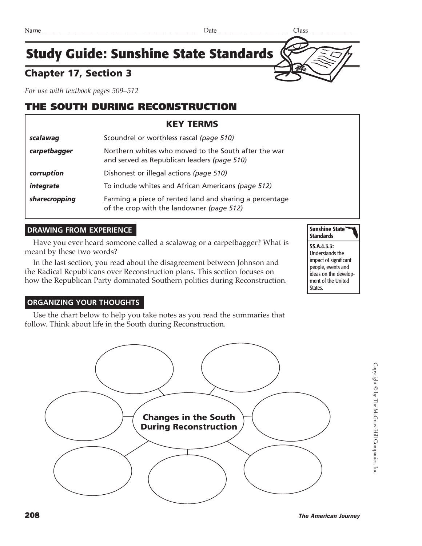### Chapter 17, Section 3

*For use with textbook pages 509–512*

### THE SOUTH DURING RECONSTRUCTION

|               | <b>KEY TERMS</b>                                                                                     |
|---------------|------------------------------------------------------------------------------------------------------|
| scalawag      | Scoundrel or worthless rascal (page 510)                                                             |
| carpetbagger  | Northern whites who moved to the South after the war<br>and served as Republican leaders (page 510)  |
| corruption    | Dishonest or illegal actions (page 510)                                                              |
| integrate     | To include whites and African Americans (page 512)                                                   |
| sharecropping | Farming a piece of rented land and sharing a percentage<br>of the crop with the landowner (page 512) |

### **DRAWING FROM EXPERIENCE**

Have you ever heard someone called a scalawag or a carpetbagger? What is meant by these two words?

In the last section, you read about the disagreement between Johnson and the Radical Republicans over Reconstruction plans. This section focuses on how the Republican Party dominated Southern politics during Reconstruction.



SS.A.4.3.3: Understands the impact of significant people, events and ideas on the development of the United States.

#### **ORGANIZING YOUR THOUGHTS**

Use the chart below to help you take notes as you read the summaries that follow. Think about life in the South during Reconstruction.

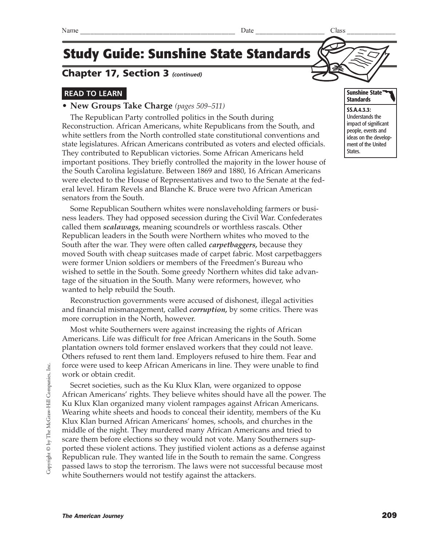### Chapter 17, Section 3 *(continued)*

### **READ TO LEARN**

#### **• New Groups Take Charge** *(pages 509–511)*

The Republican Party controlled politics in the South during Reconstruction. African Americans, white Republicans from the South, and white settlers from the North controlled state constitutional conventions and state legislatures. African Americans contributed as voters and elected officials. They contributed to Republican victories. Some African Americans held important positions. They briefly controlled the majority in the lower house of the South Carolina legislature. Between 1869 and 1880, 16 African Americans were elected to the House of Representatives and two to the Senate at the federal level. Hiram Revels and Blanche K. Bruce were two African American senators from the South.

Some Republican Southern whites were nonslaveholding farmers or business leaders. They had opposed secession during the Civil War. Confederates called them *scalawags,* meaning scoundrels or worthless rascals. Other Republican leaders in the South were Northern whites who moved to the South after the war. They were often called *carpetbaggers,* because they moved South with cheap suitcases made of carpet fabric. Most carpetbaggers were former Union soldiers or members of the Freedmen's Bureau who wished to settle in the South. Some greedy Northern whites did take advantage of the situation in the South. Many were reformers, however, who wanted to help rebuild the South.

Reconstruction governments were accused of dishonest, illegal activities and financial mismanagement, called *corruption,* by some critics. There was more corruption in the North, however.

Most white Southerners were against increasing the rights of African Americans. Life was difficult for free African Americans in the South. Some plantation owners told former enslaved workers that they could not leave. Others refused to rent them land. Employers refused to hire them. Fear and force were used to keep African Americans in line. They were unable to find work or obtain credit.

Secret societies, such as the Ku Klux Klan, were organized to oppose African Americans' rights. They believe whites should have all the power. The Ku Klux Klan organized many violent rampages against African Americans. Wearing white sheets and hoods to conceal their identity, members of the Ku Klux Klan burned African Americans' homes, schools, and churches in the middle of the night. They murdered many African Americans and tried to scare them before elections so they would not vote. Many Southerners supported these violent actions. They justified violent actions as a defense against Republican rule. They wanted life in the South to remain the same. Congress passed laws to stop the terrorism. The laws were not successful because most white Southerners would not testify against the attackers.

#### Sunshine State **Standards**

SS.A.4.3.3: Understands the impact of significant people, events and ideas on the development of the United States.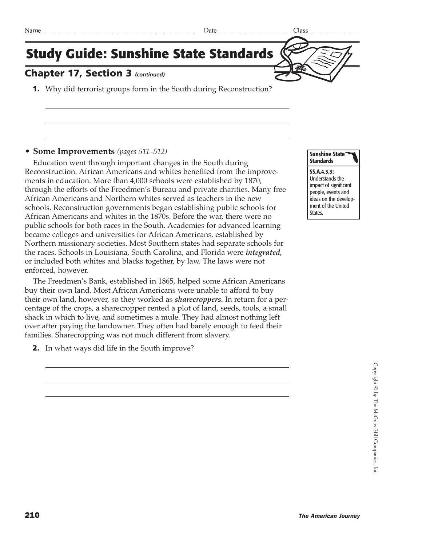

### Chapter 17, Section 3 *(continued)*

1. Why did terrorist groups form in the South during Reconstruction?

#### **• Some Improvements** *(pages 511–512)*

Education went through important changes in the South during Reconstruction. African Americans and whites benefited from the improvements in education. More than 4,000 schools were established by 1870, through the efforts of the Freedmen's Bureau and private charities. Many free African Americans and Northern whites served as teachers in the new schools. Reconstruction governments began establishing public schools for African Americans and whites in the 1870s. Before the war, there were no public schools for both races in the South. Academies for advanced learning became colleges and universities for African Americans, established by Northern missionary societies. Most Southern states had separate schools for the races. Schools in Louisiana, South Carolina, and Florida were *integrated,* or included both whites and blacks together, by law. The laws were not enforced, however.

The Freedmen's Bank, established in 1865, helped some African Americans buy their own land. Most African Americans were unable to afford to buy their own land, however, so they worked as *sharecroppers.* In return for a percentage of the crops, a sharecropper rented a plot of land, seeds, tools, a small shack in which to live, and sometimes a mule. They had almost nothing left over after paying the landowner. They often had barely enough to feed their families. Sharecropping was not much different from slavery.

2. In what ways did life in the South improve?



SS.A.4.3.3: Understands the impact of significant people, events and ideas on the development of the United States.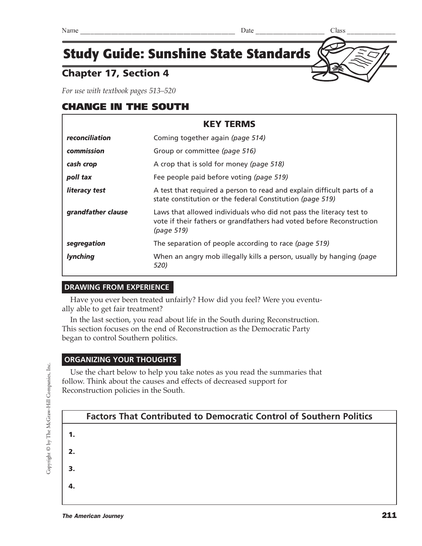### Chapter 17, Section 4

*For use with textbook pages 513–520*

### CHANGE IN THE SOUTH

| <b>KEY TERMS</b>   |                                                                                                                                                            |  |
|--------------------|------------------------------------------------------------------------------------------------------------------------------------------------------------|--|
| reconciliation     | Coming together again (page 514)                                                                                                                           |  |
| commission         | Group or committee (page 516)                                                                                                                              |  |
| cash crop          | A crop that is sold for money (page 518)                                                                                                                   |  |
| poll tax           | Fee people paid before voting (page 519)                                                                                                                   |  |
| literacy test      | A test that required a person to read and explain difficult parts of a<br>state constitution or the federal Constitution (page 519)                        |  |
| grandfather clause | Laws that allowed individuals who did not pass the literacy test to<br>vote if their fathers or grandfathers had voted before Reconstruction<br>(page 519) |  |
| segregation        | The separation of people according to race (page 519)                                                                                                      |  |
| <b>lynching</b>    | When an angry mob illegally kills a person, usually by hanging (page<br>520)                                                                               |  |

### **DRAWING FROM EXPERIENCE**

Have you ever been treated unfairly? How did you feel? Were you eventually able to get fair treatment?

In the last section, you read about life in the South during Reconstruction. This section focuses on the end of Reconstruction as the Democratic Party began to control Southern politics.

#### **ORGANIZING YOUR THOUGHTS**

Use the chart below to help you take notes as you read the summaries that follow. Think about the causes and effects of decreased support for Reconstruction policies in the South.

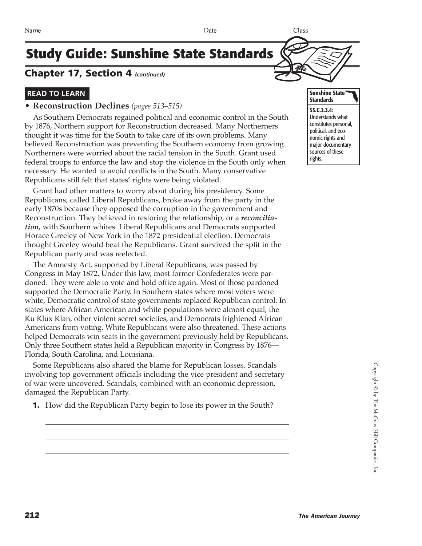### Chapter 17, Section 4 *(continued)*

### **READ TO LEARN**

#### **• Reconstruction Declines** *(pages 513–515)*

As Southern Democrats regained political and economic control in the South by 1876, Northern support for Reconstruction decreased. Many Northerners thought it was time for the South to take care of its own problems. Many believed Reconstruction was preventing the Southern economy from growing. Northerners were worried about the racial tension in the South. Grant used federal troops to enforce the law and stop the violence in the South only when necessary. He wanted to avoid conflicts in the South. Many conservative Republicans still felt that states' rights were being violated.

Grant had other matters to worry about during his presidency. Some Republicans, called Liberal Republicans, broke away from the party in the early 1870s because they opposed the corruption in the government and Reconstruction. They believed in restoring the relationship, or a *reconciliation,* with Southern whites. Liberal Republicans and Democrats supported Horace Greeley of New York in the 1872 presidential election. Democrats thought Greeley would beat the Republicans. Grant survived the split in the Republican party and was reelected.

The Amnesty Act, supported by Liberal Republicans, was passed by Congress in May 1872. Under this law, most former Confederates were pardoned. They were able to vote and hold office again. Most of those pardoned supported the Democratic Party. In Southern states where most voters were white, Democratic control of state governments replaced Republican control. In states where African American and white populations were almost equal, the Ku Klux Klan, other violent secret societies, and Democrats frightened African Americans from voting. White Republicans were also threatened. These actions helped Democrats win seats in the government previously held by Republicans. Only three Southern states held a Republican majority in Congress by 1876— Florida, South Carolina, and Louisiana.

Some Republicans also shared the blame for Republican losses. Scandals involving top government officials including the vice president and secretary of war were uncovered. Scandals, combined with an economic depression, damaged the Republican Party.

1. How did the Republican Party begin to lose its power in the South?



SS.C.2.3.4: Understands what constitutes personal, political, and economic rights and major documentary sources of these rights.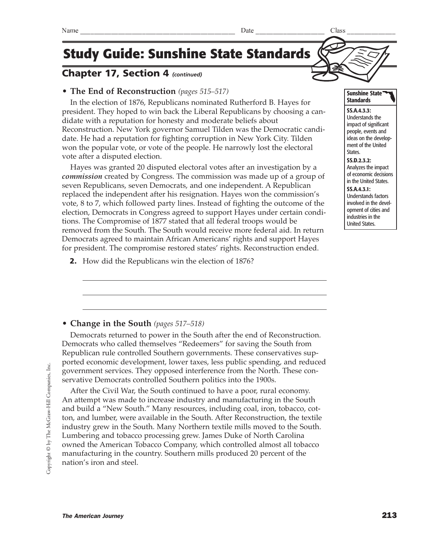Copyright © by The McGraw-Hill Companies, Inc. Copyright © by The McGraw-Hill Companies, Inc.

The American Journey 213

## **Study Guide: Sunshine State Standards**

### Chapter 17, Section 4 *(continued)*

### **• The End of Reconstruction** *(pages 515–517)*

In the election of 1876, Republicans nominated Rutherford B. Hayes for president. They hoped to win back the Liberal Republicans by choosing a candidate with a reputation for honesty and moderate beliefs about Reconstruction. New York governor Samuel Tilden was the Democratic candidate. He had a reputation for fighting corruption in New York City. Tilden won the popular vote, or vote of the people. He narrowly lost the electoral vote after a disputed election.

Hayes was granted 20 disputed electoral votes after an investigation by a *commission* created by Congress. The commission was made up of a group of seven Republicans, seven Democrats, and one independent. A Republican replaced the independent after his resignation. Hayes won the commission's vote, 8 to 7, which followed party lines. Instead of fighting the outcome of the election, Democrats in Congress agreed to support Hayes under certain conditions. The Compromise of 1877 stated that all federal troops would be removed from the South. The South would receive more federal aid. In return Democrats agreed to maintain African Americans' rights and support Hayes for president. The compromise restored states' rights. Reconstruction ended.

2. How did the Republicans win the election of 1876?

### **• Change in the South** *(pages 517–518)*

Democrats returned to power in the South after the end of Reconstruction. Democrats who called themselves "Redeemers" for saving the South from Republican rule controlled Southern governments. These conservatives supported economic development, lower taxes, less public spending, and reduced government services. They opposed interference from the North. These conservative Democrats controlled Southern politics into the 1900s.

After the Civil War, the South continued to have a poor, rural economy. An attempt was made to increase industry and manufacturing in the South and build a "New South." Many resources, including coal, iron, tobacco, cotton, and lumber, were available in the South. After Reconstruction, the textile industry grew in the South. Many Northern textile mills moved to the South. Lumbering and tobacco processing grew. James Duke of North Carolina owned the American Tobacco Company, which controlled almost all tobacco manufacturing in the country. Southern mills produced 20 percent of the nation's iron and steel.

#### Sunshine State **Standards**

SS.A.4.3.3: Understands the impact of significant people, events and ideas on the development of the United States. SS.D.2.3.2:

Analyzes the impact of economic decisions in the United States.

#### SS.A.4.3.1:

Understands factors involved in the development of cities and industries in the United States.

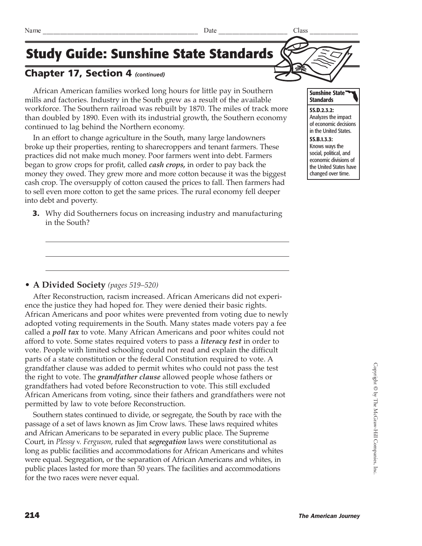### Chapter 17, Section 4 *(continued)*

African American families worked long hours for little pay in Southern mills and factories. Industry in the South grew as a result of the available workforce. The Southern railroad was rebuilt by 1870. The miles of track more than doubled by 1890. Even with its industrial growth, the Southern economy continued to lag behind the Northern economy.

In an effort to change agriculture in the South, many large landowners broke up their properties, renting to sharecroppers and tenant farmers. These practices did not make much money. Poor farmers went into debt. Farmers began to grow crops for profit, called *cash crops,* in order to pay back the money they owed. They grew more and more cotton because it was the biggest cash crop. The oversupply of cotton caused the prices to fall. Then farmers had to sell even more cotton to get the same prices. The rural economy fell deeper into debt and poverty.

**3.** Why did Southerners focus on increasing industry and manufacturing in the South?



After Reconstruction, racism increased. African Americans did not experience the justice they had hoped for. They were denied their basic rights. African Americans and poor whites were prevented from voting due to newly adopted voting requirements in the South. Many states made voters pay a fee called a *poll tax* to vote. Many African Americans and poor whites could not afford to vote. Some states required voters to pass a *literacy test* in order to vote. People with limited schooling could not read and explain the difficult parts of a state constitution or the federal Constitution required to vote. A grandfather clause was added to permit whites who could not pass the test the right to vote. The *grandfather clause* allowed people whose fathers or grandfathers had voted before Reconstruction to vote. This still excluded African Americans from voting, since their fathers and grandfathers were not permitted by law to vote before Reconstruction.

Southern states continued to divide, or segregate, the South by race with the passage of a set of laws known as Jim Crow laws. These laws required whites and African Americans to be separated in every public place. The Supreme Court, in *Plessy v. Ferguson*, ruled that *segregation* laws were constitutional as long as public facilities and accommodations for African Americans and whites were equal. Segregation, or the separation of African Americans and whites, in public places lasted for more than 50 years. The facilities and accommodations for the two races were never equal.



SS.D.2.3.2: Analyzes the impact of economic decisions in the United States.

SS.B.1.3.3: Knows ways the social, political, and economic divisions of the United States have changed over time.